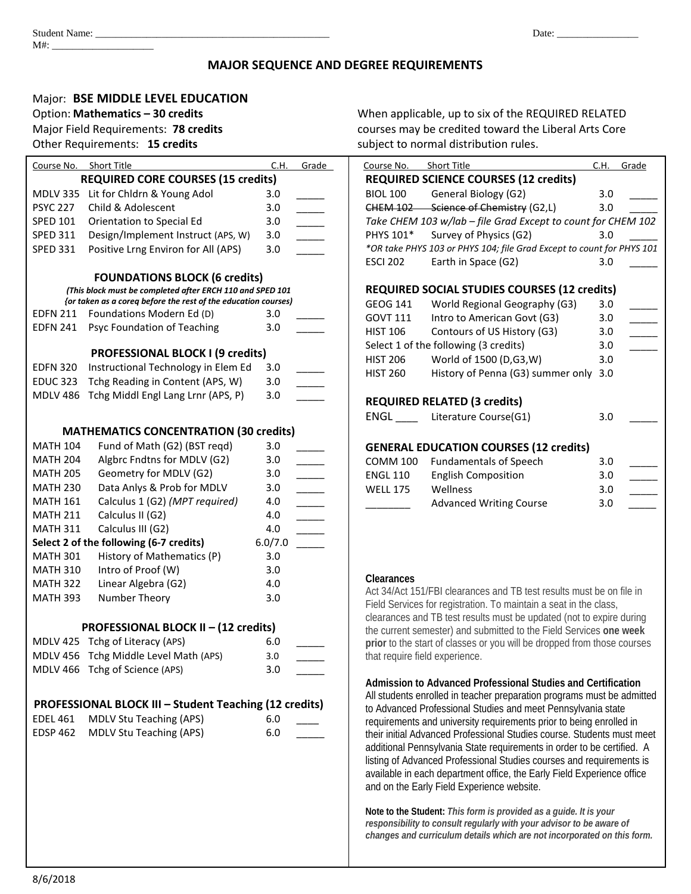# **MAJOR SEQUENCE AND DEGREE REQUIREMENTS**

# Major: **BSE MIDDLE LEVEL EDUCATION**

# Course No. Short Title C.H. Grade **REQUIRED CORE COURSES (15 credits)** MDLV 335 Lit for Chldrn & Young Adol 3.0 PSYC 227 Child & Adolescent 3.0 SPED 101 Orientation to Special Ed 3.0 SPED 311 Design/Implement Instruct (APS, W) 3.0 SPED 331 Positive Lrng Environ for All (APS) 3.0 **FOUNDATIONS BLOCK (6 credits)** *(This block must be completed after ERCH 110 and SPED 101 {or taken as a coreq before the rest of the education courses)* EDFN 211 Foundations Modern Ed (D) 3.0 EDFN 241 Psyc Foundation of Teaching 3.0 **PROFESSIONAL BLOCK I (9 credits)** EDFN 320 Instructional Technology in Elem Ed 3.0 EDUC 323 Tchg Reading in Content (APS, W) 3.0 MDLV 486 Tchg Middl Engl Lang Lrnr (APS, P) 3.0 **MATHEMATICS CONCENTRATION (30 credits)** MATH  $104$  Fund of Math (G2) (BST reqd) 3.0 MATH 204 Algbrc Fndtns for MDLV (G2) 3.0 MATH 205 Geometry for MDLV (G2) 3.0 MATH 230 Data Anlys & Prob for MDLV 3.0 MATH 161 Calculus 1 (G2) *(MPT required)* 4.0 \_\_\_\_\_ MATH 211 Calculus II (G2) 4.0 MATH 311 Calculus III (G2) 4.0 **Select 2 of the following (6-7 credits)** 6.0/7.0 \_\_\_\_\_ MATH 301 History of Mathematics (P) 3.0 MATH 310 Intro of Proof (W) 3.0 MATH 322 Linear Algebra (G2) 4.0 MATH 393 Number Theory 3.0 **PROFESSIONAL BLOCK II – (12 credits)** MDLV 425 Tchg of Literacy (APS) 6.0 MDLV 456 Tchg Middle Level Math (APS) 3.0 MDLV 466 Tchg of Science (APS) 3.0 **PROFESSIONAL BLOCK III – Student Teaching (12 credits)** EDEL 461 MDLV Stu Teaching (APS) 6.0 EDSP 462 MDLV Stu Teaching (APS) 6.0

Option: **Mathematics – 30 credits** Mathematics – 30 credits When applicable, up to six of the REQUIRED RELATED Major Field Requirements: **78 credits** courses may be credited toward the Liberal Arts Core Other Requirements: **15 credits** subject to normal distribution rules.

| Course No.      | <b>Short Title</b>                                                    | C.H. | Grade |
|-----------------|-----------------------------------------------------------------------|------|-------|
|                 | <b>REQUIRED SCIENCE COURSES (12 credits)</b>                          |      |       |
| <b>BIOL 100</b> | General Biology (G2)                                                  | 3.0  |       |
|                 | CHEM 102 Science of Chemistry (G2,L)                                  | 3.0  |       |
|                 | Take CHEM 103 w/lab - file Grad Except to count for CHEM 102          |      |       |
| PHYS 101*       | Survey of Physics (G2)                                                | 3.0  |       |
|                 | *OR take PHYS 103 or PHYS 104; file Grad Except to count for PHYS 101 |      |       |
| <b>ESCI 202</b> | Earth in Space (G2)                                                   | 3.0  |       |
|                 | <b>REQUIRED SOCIAL STUDIES COURSES (12 credits)</b>                   |      |       |
| GEOG 141        | World Regional Geography (G3)                                         | 3.0  |       |
| GOVT 111        | Intro to American Govt (G3)                                           | 3.0  |       |
| HIST 106        | Contours of US History (G3)                                           | 3.0  |       |
|                 | Select 1 of the following (3 credits)                                 | 3.0  |       |
| <b>HIST 206</b> | World of 1500 (D,G3,W)                                                | 3.0  |       |
| <b>HIST 260</b> | History of Penna (G3) summer only 3.0                                 |      |       |
|                 | <b>REQUIRED RELATED (3 credits)</b>                                   |      |       |
|                 | ENGL __ Literature Course(G1)                                         | 3.0  |       |
|                 | <b>GENERAL EDUCATION COURSES (12 credits)</b>                         |      |       |
| COMM 100        | <b>Fundamentals of Speech</b>                                         | 3.0  |       |
| <b>ENGL 110</b> | <b>English Composition</b>                                            | 3.0  |       |
| <b>WELL 175</b> | Wellness                                                              | 3.0  |       |
|                 | <b>Advanced Writing Course</b>                                        | 3.0  |       |

## **Clearances**

Act 34/Act 151/FBI clearances and TB test results must be on file in Field Services for registration. To maintain a seat in the class, clearances and TB test results must be updated (not to expire during the current semester) and submitted to the Field Services **one week prior** to the start of classes or you will be dropped from those courses that require field experience.

# **Admission to Advanced Professional Studies and Certification**

All students enrolled in teacher preparation programs must be admitted to Advanced Professional Studies and meet Pennsylvania state requirements and university requirements prior to being enrolled in their initial Advanced Professional Studies course. Students must meet additional Pennsylvania State requirements in order to be certified. A listing of Advanced Professional Studies courses and requirements is available in each department office, the Early Field Experience office and on the Early Field Experience website.

**Note to the Student:** *This form is provided as a guide. It is your responsibility to consult regularly with your advisor to be aware of changes and curriculum details which are not incorporated on this form.*